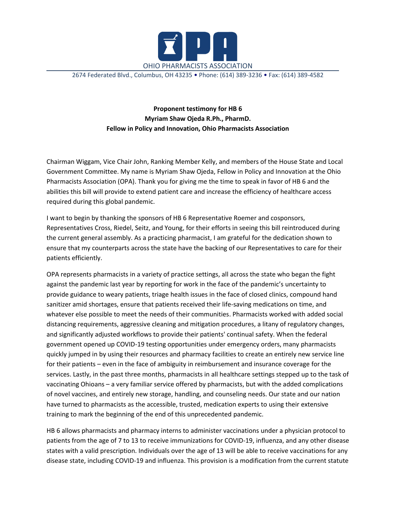

2674 Federated Blvd., Columbus, OH 43235 • Phone: (614) 389-3236 • Fax: (614) 389-4582

**Proponent testimony for HB 6 Myriam Shaw Ojeda R.Ph., PharmD. Fellow in Policy and Innovation, Ohio Pharmacists Association**

Chairman Wiggam, Vice Chair John, Ranking Member Kelly, and members of the House State and Local Government Committee. My name is Myriam Shaw Ojeda, Fellow in Policy and Innovation at the Ohio Pharmacists Association (OPA). Thank you for giving me the time to speak in favor of HB 6 and the abilities this bill will provide to extend patient care and increase the efficiency of healthcare access required during this global pandemic.

I want to begin by thanking the sponsors of HB 6 Representative Roemer and cosponsors, Representatives Cross, Riedel, Seitz, and Young, for their efforts in seeing this bill reintroduced during the current general assembly. As a practicing pharmacist, I am grateful for the dedication shown to ensure that my counterparts across the state have the backing of our Representatives to care for their patients efficiently.

OPA represents pharmacists in a variety of practice settings, all across the state who began the fight against the pandemic last year by reporting for work in the face of the pandemic's uncertainty to provide guidance to weary patients, triage health issues in the face of closed clinics, compound hand sanitizer amid shortages, ensure that patients received their life-saving medications on time, and whatever else possible to meet the needs of their communities. Pharmacists worked with added social distancing requirements, aggressive cleaning and mitigation procedures, a litany of regulatory changes, and significantly adjusted workflows to provide their patients' continual safety. When the federal government opened up COVID-19 testing opportunities under emergency orders, many pharmacists quickly jumped in by using their resources and pharmacy facilities to create an entirely new service line for their patients – even in the face of ambiguity in reimbursement and insurance coverage for the services. Lastly, in the past three months, pharmacists in all healthcare settings stepped up to the task of vaccinating Ohioans – a very familiar service offered by pharmacists, but with the added complications of novel vaccines, and entirely new storage, handling, and counseling needs. Our state and our nation have turned to pharmacists as the accessible, trusted, medication experts to using their extensive training to mark the beginning of the end of this unprecedented pandemic.

HB 6 allows pharmacists and pharmacy interns to administer vaccinations under a physician protocol to patients from the age of 7 to 13 to receive immunizations for COVID-19, influenza, and any other disease states with a valid prescription. Individuals over the age of 13 will be able to receive vaccinations for any disease state, including COVID-19 and influenza. This provision is a modification from the current statute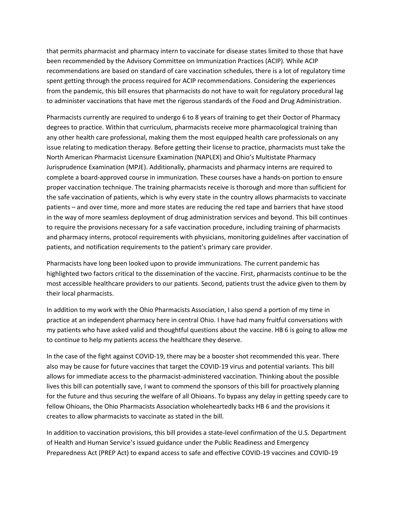that permits pharmacist and pharmacy intern to vaccinate for disease states limited to those that have been recommended by the Advisory Committee on Immunization Practices (ACIP). While ACIP recommendations are based on standard of care vaccination schedules, there is a lot of regulatory time spent getting through the process required for ACIP recommendations. Considering the experiences from the pandemic, this bill ensures that pharmacists do not have to wait for regulatory procedural lag to administer vaccinations that have met the rigorous standards of the Food and Drug Administration.

Pharmacists currently are required to undergo 6 to 8 years of training to get their Doctor of Pharmacy degrees to practice. Within that curriculum, pharmacists receive more pharmacological training than any other health care professional, making them the most equipped health care professionals on any issue relating to medication therapy. Before getting their license to practice, pharmacists must take the North American Pharmacist Licensure Examination (NAPLEX) and Ohio's Multistate Pharmacy Jurisprudence Examination (MPJE). Additionally, pharmacists and pharmacy interns are required to complete a board-approved course in immunization. These courses have a hands-on portion to ensure proper vaccination technique. The training pharmacists receive is thorough and more than sufficient for the safe vaccination of patients, which is why every state in the country allows pharmacists to vaccinate patients – and over time, more and more states are reducing the red tape and barriers that have stood in the way of more seamless deployment of drug administration services and beyond. This bill continues to require the provisions necessary for a safe vaccination procedure, including training of pharmacists and pharmacy interns, protocol requirements with physicians, monitoring guidelines after vaccination of patients, and notification requirements to the patient's primary care provider.

Pharmacists have long been looked upon to provide immunizations. The current pandemic has highlighted two factors critical to the dissemination of the vaccine. First, pharmacists continue to be the most accessible healthcare providers to our patients. Second, patients trust the advice given to them by their local pharmacists.

In addition to my work with the Ohio Pharmacists Association, I also spend a portion of my time in practice at an independent pharmacy here in central Ohio. I have had many fruitful conversations with my patients who have asked valid and thoughtful questions about the vaccine. HB 6 is going to allow me to continue to help my patients access the healthcare they deserve.

In the case of the fight against COVID-19, there may be a booster shot recommended this year. There also may be cause for future vaccines that target the COVID-19 virus and potential variants. This bill allows for immediate access to the pharmacist-administered vaccination. Thinking about the possible lives this bill can potentially save, I want to commend the sponsors of this bill for proactively planning for the future and thus securing the welfare of all Ohioans. To bypass any delay in getting speedy care to fellow Ohioans, the Ohio Pharmacists Association wholeheartedly backs HB 6 and the provisions it creates to allow pharmacists to vaccinate as stated in the bill.

In addition to vaccination provisions, this bill provides a state-level confirmation of the U.S. Department of Health and Human Service's issued guidance under the Public Readiness and Emergency Preparedness Act (PREP Act) to expand access to safe and effective COVID-19 vaccines and COVID-19